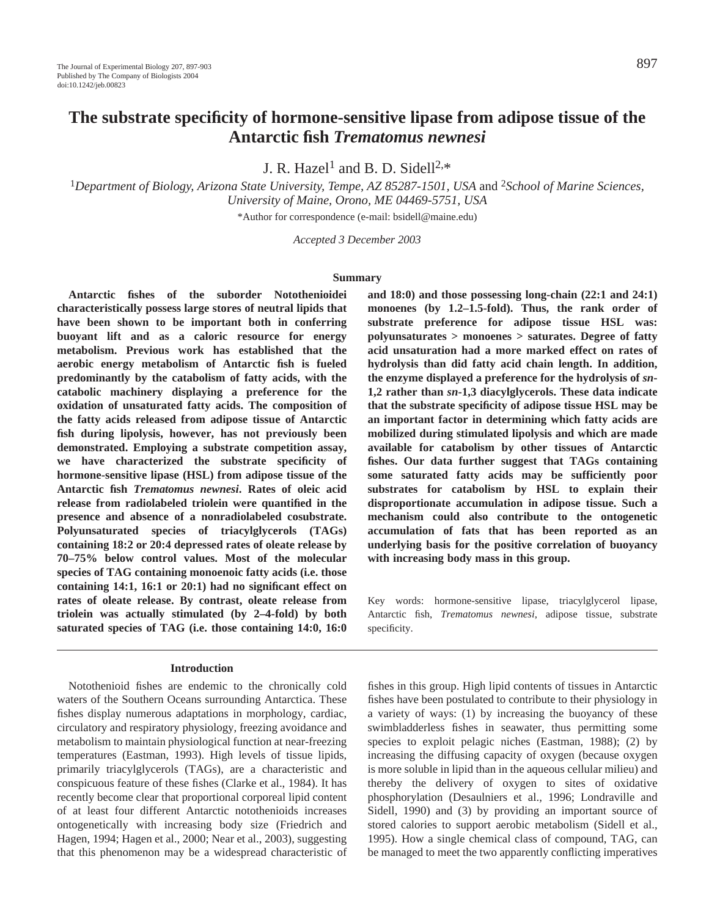# **The substrate specificity of hormone-sensitive lipase from adipose tissue of the Antarctic fish** *Trematomus newnesi*

J. R. Hazel<sup>1</sup> and B. D. Sidell<sup>2,\*</sup>

<sup>1</sup>*Department of Biology, Arizona State University, Tempe, AZ 85287-1501, USA* and 2*School of Marine Sciences, University of Maine, Orono, ME 04469-5751, USA*

\*Author for correspondence (e-mail: bsidell@maine.edu)

*Accepted 3 December 2003*

### **Summary**

**Antarctic fishes of the suborder Notothenioidei characteristically possess large stores of neutral lipids that have been shown to be important both in conferring buoyant lift and as a caloric resource for energy metabolism. Previous work has established that the aerobic energy metabolism of Antarctic fish is fueled predominantly by the catabolism of fatty acids, with the catabolic machinery displaying a preference for the oxidation of unsaturated fatty acids. The composition of the fatty acids released from adipose tissue of Antarctic fish during lipolysis, however, has not previously been demonstrated. Employing a substrate competition assay, we have characterized the substrate specificity of hormone-sensitive lipase (HSL) from adipose tissue of the Antarctic fish** *Trematomus newnesi***. Rates of oleic acid release from radiolabeled triolein were quantified in the presence and absence of a nonradiolabeled cosubstrate. Polyunsaturated species of triacylglycerols (TAGs) containing 18:2 or 20:4 depressed rates of oleate release by 70–75% below control values. Most of the molecular species of TAG containing monoenoic fatty acids (i.e. those containing 14:1, 16:1 or 20:1) had no significant effect on rates of oleate release. By contrast, oleate release from triolein was actually stimulated (by 2–4-fold) by both saturated species of TAG (i.e. those containing 14:0, 16:0**

# **Introduction**

Notothenioid fishes are endemic to the chronically cold waters of the Southern Oceans surrounding Antarctica. These fishes display numerous adaptations in morphology, cardiac, circulatory and respiratory physiology, freezing avoidance and metabolism to maintain physiological function at near-freezing temperatures (Eastman, 1993). High levels of tissue lipids, primarily triacylglycerols (TAGs), are a characteristic and conspicuous feature of these fishes (Clarke et al., 1984). It has recently become clear that proportional corporeal lipid content of at least four different Antarctic notothenioids increases ontogenetically with increasing body size (Friedrich and Hagen, 1994; Hagen et al., 2000; Near et al., 2003), suggesting that this phenomenon may be a widespread characteristic of

**and 18:0) and those possessing long-chain (22:1 and 24:1) monoenes (by 1.2–1.5-fold). Thus, the rank order of substrate preference for adipose tissue HSL was: polyunsaturates > monoenes > saturates. Degree of fatty acid unsaturation had a more marked effect on rates of hydrolysis than did fatty acid chain length. In addition, the enzyme displayed a preference for the hydrolysis of** *sn***-1,2 rather than** *sn***-1,3 diacylglycerols. These data indicate that the substrate specificity of adipose tissue HSL may be an important factor in determining which fatty acids are mobilized during stimulated lipolysis and which are made available for catabolism by other tissues of Antarctic fishes. Our data further suggest that TAGs containing some saturated fatty acids may be sufficiently poor substrates for catabolism by HSL to explain their disproportionate accumulation in adipose tissue. Such a mechanism could also contribute to the ontogenetic accumulation of fats that has been reported as an underlying basis for the positive correlation of buoyancy with increasing body mass in this group.**

Key words: hormone-sensitive lipase, triacylglycerol lipase, Antarctic fish, *Trematomus newnesi*, adipose tissue, substrate specificity.

fishes in this group. High lipid contents of tissues in Antarctic fishes have been postulated to contribute to their physiology in a variety of ways: (1) by increasing the buoyancy of these swimbladderless fishes in seawater, thus permitting some species to exploit pelagic niches (Eastman, 1988); (2) by increasing the diffusing capacity of oxygen (because oxygen is more soluble in lipid than in the aqueous cellular milieu) and thereby the delivery of oxygen to sites of oxidative phosphorylation (Desaulniers et al., 1996; Londraville and Sidell, 1990) and (3) by providing an important source of stored calories to support aerobic metabolism (Sidell et al., 1995). How a single chemical class of compound, TAG, can be managed to meet the two apparently conflicting imperatives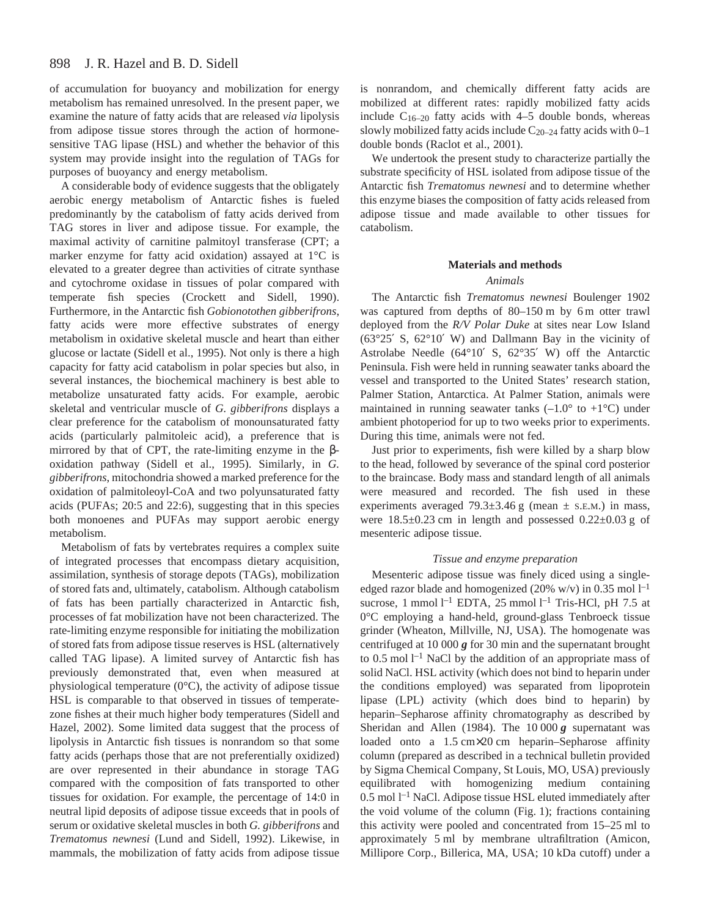of accumulation for buoyancy and mobilization for energy metabolism has remained unresolved. In the present paper, we examine the nature of fatty acids that are released *via* lipolysis from adipose tissue stores through the action of hormonesensitive TAG lipase (HSL) and whether the behavior of this system may provide insight into the regulation of TAGs for purposes of buoyancy and energy metabolism.

A considerable body of evidence suggests that the obligately aerobic energy metabolism of Antarctic fishes is fueled predominantly by the catabolism of fatty acids derived from TAG stores in liver and adipose tissue. For example, the maximal activity of carnitine palmitoyl transferase (CPT; a marker enzyme for fatty acid oxidation) assayed at 1°C is elevated to a greater degree than activities of citrate synthase and cytochrome oxidase in tissues of polar compared with temperate fish species (Crockett and Sidell, 1990). Furthermore, in the Antarctic fish *Gobionotothen gibberifrons*, fatty acids were more effective substrates of energy metabolism in oxidative skeletal muscle and heart than either glucose or lactate (Sidell et al., 1995). Not only is there a high capacity for fatty acid catabolism in polar species but also, in several instances, the biochemical machinery is best able to metabolize unsaturated fatty acids. For example, aerobic skeletal and ventricular muscle of *G. gibberifrons* displays a clear preference for the catabolism of monounsaturated fatty acids (particularly palmitoleic acid), a preference that is mirrored by that of CPT, the rate-limiting enzyme in the  $\beta$ oxidation pathway (Sidell et al., 1995). Similarly, in *G. gibberifrons*, mitochondria showed a marked preference for the oxidation of palmitoleoyl-CoA and two polyunsaturated fatty acids (PUFAs; 20:5 and 22:6), suggesting that in this species both monoenes and PUFAs may support aerobic energy metabolism.

Metabolism of fats by vertebrates requires a complex suite of integrated processes that encompass dietary acquisition, assimilation, synthesis of storage depots (TAGs), mobilization of stored fats and, ultimately, catabolism. Although catabolism of fats has been partially characterized in Antarctic fish, processes of fat mobilization have not been characterized. The rate-limiting enzyme responsible for initiating the mobilization of stored fats from adipose tissue reserves is HSL (alternatively called TAG lipase). A limited survey of Antarctic fish has previously demonstrated that, even when measured at physiological temperature (0°C), the activity of adipose tissue HSL is comparable to that observed in tissues of temperatezone fishes at their much higher body temperatures (Sidell and Hazel, 2002). Some limited data suggest that the process of lipolysis in Antarctic fish tissues is nonrandom so that some fatty acids (perhaps those that are not preferentially oxidized) are over represented in their abundance in storage TAG compared with the composition of fats transported to other tissues for oxidation. For example, the percentage of 14:0 in neutral lipid deposits of adipose tissue exceeds that in pools of serum or oxidative skeletal muscles in both *G. gibberifrons* and *Trematomus newnesi* (Lund and Sidell, 1992). Likewise, in mammals, the mobilization of fatty acids from adipose tissue

is nonrandom, and chemically different fatty acids are mobilized at different rates: rapidly mobilized fatty acids include  $C_{16-20}$  fatty acids with 4–5 double bonds, whereas slowly mobilized fatty acids include  $C_{20-24}$  fatty acids with 0–1 double bonds (Raclot et al., 2001).

We undertook the present study to characterize partially the substrate specificity of HSL isolated from adipose tissue of the Antarctic fish *Trematomus newnesi* and to determine whether this enzyme biases the composition of fatty acids released from adipose tissue and made available to other tissues for catabolism.

# **Materials and methods**

# *Animals*

The Antarctic fish *Trematomus newnesi* Boulenger 1902 was captured from depths of  $80-150$  m by 6 m otter trawl deployed from the *R/V Polar Duke* at sites near Low Island (63°25′ S, 62°10′ W) and Dallmann Bay in the vicinity of Astrolabe Needle (64°10′ S, 62°35′ W) off the Antarctic Peninsula. Fish were held in running seawater tanks aboard the vessel and transported to the United States' research station, Palmer Station, Antarctica. At Palmer Station, animals were maintained in running seawater tanks  $(-1.0^{\circ}$  to  $+1^{\circ}C)$  under ambient photoperiod for up to two weeks prior to experiments. During this time, animals were not fed.

Just prior to experiments, fish were killed by a sharp blow to the head, followed by severance of the spinal cord posterior to the braincase. Body mass and standard length of all animals were measured and recorded. The fish used in these experiments averaged  $79.3 \pm 3.46$  g (mean  $\pm$  s.e.m.) in mass, were  $18.5\pm0.23$  cm in length and possessed  $0.22\pm0.03$  g of mesenteric adipose tissue.

# *Tissue and enzyme preparation*

Mesenteric adipose tissue was finely diced using a singleedged razor blade and homogenized (20% w/v) in 0.35 mol  $l^{-1}$ sucrose, 1 mmol  $l^{-1}$  EDTA, 25 mmol  $l^{-1}$  Tris-HCl, pH 7.5 at 0°C employing a hand-held, ground-glass Tenbroeck tissue grinder (Wheaton, Millville, NJ, USA). The homogenate was centrifuged at 10 000  $\boldsymbol{g}$  for 30 min and the supernatant brought to  $0.5$  mol  $l<sup>-1</sup>$  NaCl by the addition of an appropriate mass of solid NaCl. HSL activity (which does not bind to heparin under the conditions employed) was separated from lipoprotein lipase (LPL) activity (which does bind to heparin) by heparin–Sepharose affinity chromatography as described by Sheridan and Allen (1984). The 10<sup>000</sup>**g** supernatant was loaded onto a  $1.5 \text{ cm} \times 20 \text{ cm}$  heparin–Sepharose affinity column (prepared as described in a technical bulletin provided by Sigma Chemical Company, St Louis, MO, USA) previously equilibrated with homogenizing medium containing 0.5 mol  $l<sup>-1</sup>$  NaCl. Adipose tissue HSL eluted immediately after the void volume of the column (Fig. 1); fractions containing this activity were pooled and concentrated from 15–25 ml to approximately 5 ml by membrane ultrafiltration (Amicon, Millipore Corp., Billerica, MA, USA; 10 kDa cutoff) under a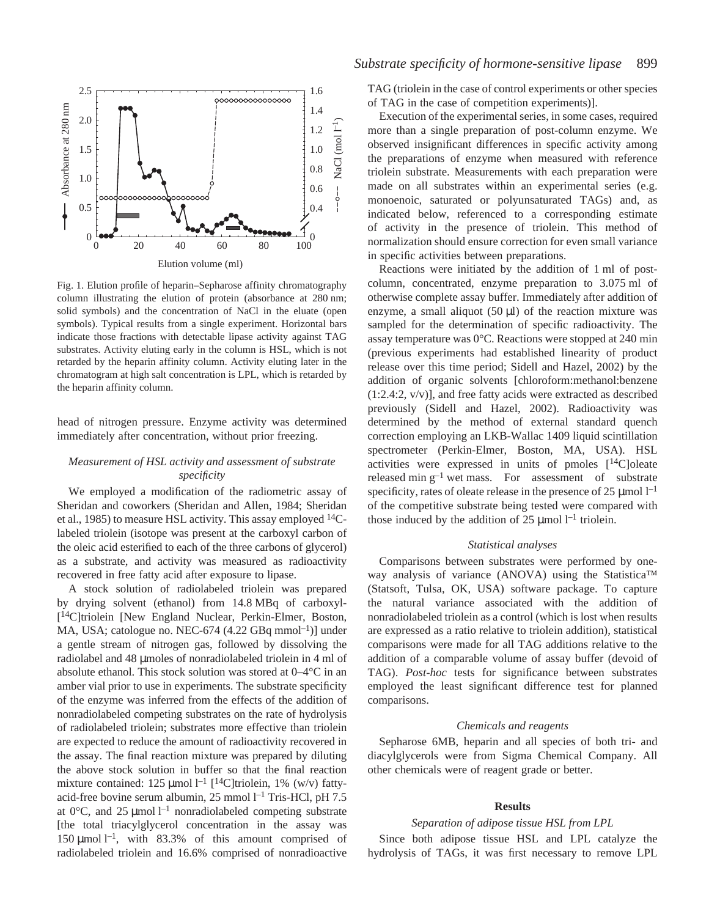

Fig. 1. Elution profile of heparin–Sepharose affinity chromatography column illustrating the elution of protein (absorbance at 280 nm; solid symbols) and the concentration of NaCl in the eluate (open symbols). Typical results from a single experiment. Horizontal bars indicate those fractions with detectable lipase activity against TAG substrates. Activity eluting early in the column is HSL, which is not retarded by the heparin affinity column. Activity eluting later in the chromatogram at high salt concentration is LPL, which is retarded by the heparin affinity column.

head of nitrogen pressure. Enzyme activity was determined immediately after concentration, without prior freezing.

# *Measurement of HSL activity and assessment of substrate specificity*

We employed a modification of the radiometric assay of Sheridan and coworkers (Sheridan and Allen, 1984; Sheridan et al., 1985) to measure HSL activity. This assay employed 14Clabeled triolein (isotope was present at the carboxyl carbon of the oleic acid esterified to each of the three carbons of glycerol) as a substrate, and activity was measured as radioactivity recovered in free fatty acid after exposure to lipase.

A stock solution of radiolabeled triolein was prepared by drying solvent (ethanol) from 14.8 MBq of carboxyl-[14C]triolein [New England Nuclear, Perkin-Elmer, Boston, MA, USA; catologue no. NEC-674  $(4.22 \text{ GBq mmol}^{-1})$ ] under a gentle stream of nitrogen gas, followed by dissolving the radiolabel and 48 µmoles of nonradiolabeled triolein in 4 ml of absolute ethanol. This stock solution was stored at 0–4°C in an amber vial prior to use in experiments. The substrate specificity of the enzyme was inferred from the effects of the addition of nonradiolabeled competing substrates on the rate of hydrolysis of radiolabeled triolein; substrates more effective than triolein are expected to reduce the amount of radioactivity recovered in the assay. The final reaction mixture was prepared by diluting the above stock solution in buffer so that the final reaction mixture contained: 125  $\mu$ mol l<sup>-1</sup> [<sup>14</sup>C]triolein, 1% (w/v) fattyacid-free bovine serum albumin,  $25 \text{ mmol } l^{-1}$  Tris-HCl, pH 7.5 at 0 $^{\circ}$ C, and 25 µmol<sup>-1</sup> nonradiolabeled competing substrate [the total triacylglycerol concentration in the assay was 150  $\mu$ mol l<sup>-1</sup>, with 83.3% of this amount comprised of radiolabeled triolein and 16.6% comprised of nonradioactive

TAG (triolein in the case of control experiments or other species of TAG in the case of competition experiments)].

Execution of the experimental series, in some cases, required more than a single preparation of post-column enzyme. We observed insignificant differences in specific activity among the preparations of enzyme when measured with reference triolein substrate. Measurements with each preparation were made on all substrates within an experimental series (e.g. monoenoic, saturated or polyunsaturated TAGs) and, as indicated below, referenced to a corresponding estimate of activity in the presence of triolein. This method of normalization should ensure correction for even small variance in specific activities between preparations.

Reactions were initiated by the addition of 1 ml of postcolumn, concentrated, enzyme preparation to 3.075 ml of otherwise complete assay buffer. Immediately after addition of enzyme, a small aliquot  $(50 \mu l)$  of the reaction mixture was sampled for the determination of specific radioactivity. The assay temperature was  $0^{\circ}$ C. Reactions were stopped at 240 min (previous experiments had established linearity of product release over this time period; Sidell and Hazel, 2002) by the addition of organic solvents [chloroform:methanol:benzene (1:2.4:2, v/v)], and free fatty acids were extracted as described previously (Sidell and Hazel, 2002). Radioactivity was determined by the method of external standard quench correction employing an LKB-Wallac 1409 liquid scintillation spectrometer (Perkin-Elmer, Boston, MA, USA). HSL activities were expressed in units of pmoles  $[14C]$ oleate released min  $g^{-1}$  wet mass. For assessment of substrate specificity, rates of oleate release in the presence of 25  $\mu$ mol  $l^{-1}$ of the competitive substrate being tested were compared with those induced by the addition of 25  $\mu$ mol l<sup>-1</sup> triolein.

#### *Statistical analyses*

Comparisons between substrates were performed by oneway analysis of variance (ANOVA) using the Statistica™ (Statsoft, Tulsa, OK, USA) software package. To capture the natural variance associated with the addition of nonradiolabeled triolein as a control (which is lost when results are expressed as a ratio relative to triolein addition), statistical comparisons were made for all TAG additions relative to the addition of a comparable volume of assay buffer (devoid of TAG). *Post-hoc* tests for significance between substrates employed the least significant difference test for planned comparisons.

#### *Chemicals and reagents*

Sepharose 6MB, heparin and all species of both tri- and diacylglycerols were from Sigma Chemical Company. All other chemicals were of reagent grade or better.

# **Results**

# *Separation of adipose tissue HSL from LPL*

Since both adipose tissue HSL and LPL catalyze the hydrolysis of TAGs, it was first necessary to remove LPL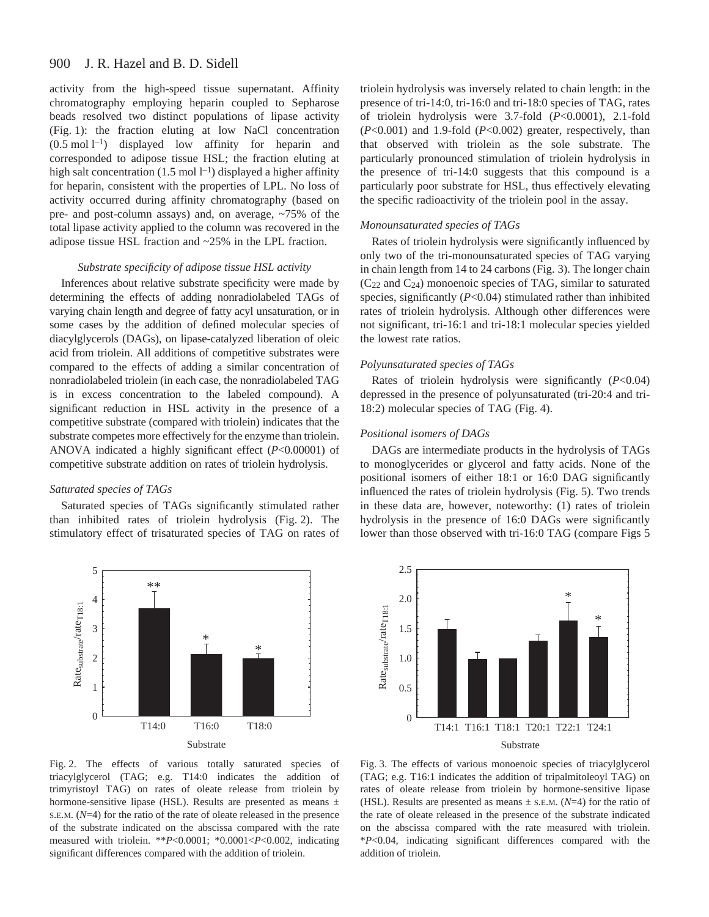#### 900 J. R. Hazel and B. D. Sidell

activity from the high-speed tissue supernatant. Affinity chromatography employing heparin coupled to Sepharose beads resolved two distinct populations of lipase activity (Fig. 1): the fraction eluting at low NaCl concentration  $(0.5 \text{ mol } l^{-1})$  displayed low affinity for heparin and corresponded to adipose tissue HSL; the fraction eluting at high salt concentration (1.5 mol  $l^{-1}$ ) displayed a higher affinity for heparin, consistent with the properties of LPL. No loss of activity occurred during affinity chromatography (based on pre- and post-column assays) and, on average, ~75% of the total lipase activity applied to the column was recovered in the adipose tissue HSL fraction and ~25% in the LPL fraction.

# *Substrate specificity of adipose tissue HSL activity*

Inferences about relative substrate specificity were made by determining the effects of adding nonradiolabeled TAGs of varying chain length and degree of fatty acyl unsaturation, or in some cases by the addition of defined molecular species of diacylglycerols (DAGs), on lipase-catalyzed liberation of oleic acid from triolein. All additions of competitive substrates were compared to the effects of adding a similar concentration of nonradiolabeled triolein (in each case, the nonradiolabeled TAG is in excess concentration to the labeled compound). A significant reduction in HSL activity in the presence of a competitive substrate (compared with triolein) indicates that the substrate competes more effectively for the enzyme than triolein. ANOVA indicated a highly significant effect (*P*<0.00001) of competitive substrate addition on rates of triolein hydrolysis.

# *Saturated species of TAGs*

Saturated species of TAGs significantly stimulated rather than inhibited rates of triolein hydrolysis (Fig. 2). The stimulatory effect of trisaturated species of TAG on rates of

triolein hydrolysis was inversely related to chain length: in the presence of tri-14:0, tri-16:0 and tri-18:0 species of TAG, rates of triolein hydrolysis were 3.7-fold (*P*<0.0001), 2.1-fold (*P*<0.001) and 1.9-fold (*P*<0.002) greater, respectively, than that observed with triolein as the sole substrate. The particularly pronounced stimulation of triolein hydrolysis in the presence of tri-14:0 suggests that this compound is a particularly poor substrate for HSL, thus effectively elevating the specific radioactivity of the triolein pool in the assay.

# *Monounsaturated species of TAGs*

Rates of triolein hydrolysis were significantly influenced by only two of the tri-monounsaturated species of TAG varying in chain length from 14 to 24 carbons (Fig. 3). The longer chain  $(C_{22}$  and  $C_{24}$ ) monoenoic species of TAG, similar to saturated species, significantly (*P*<0.04) stimulated rather than inhibited rates of triolein hydrolysis. Although other differences were not significant, tri-16:1 and tri-18:1 molecular species yielded the lowest rate ratios.

# *Polyunsaturated species of TAGs*

Rates of triolein hydrolysis were significantly (*P*<0.04) depressed in the presence of polyunsaturated (tri-20:4 and tri-18:2) molecular species of TAG (Fig. 4).

# *Positional isomers of DAGs*

DAGs are intermediate products in the hydrolysis of TAGs to monoglycerides or glycerol and fatty acids. None of the positional isomers of either 18:1 or 16:0 DAG significantly influenced the rates of triolein hydrolysis (Fig. 5). Two trends in these data are, however, noteworthy: (1) rates of triolein hydrolysis in the presence of 16:0 DAGs were significantly lower than those observed with tri-16:0 TAG (compare Figs 5







Fig. 3. The effects of various monoenoic species of triacylglycerol (TAG; e.g. T16:1 indicates the addition of tripalmitoleoyl TAG) on rates of oleate release from triolein by hormone-sensitive lipase (HSL). Results are presented as means ± S.E.M. (*N*=4) for the ratio of the rate of oleate released in the presence of the substrate indicated on the abscissa compared with the rate measured with triolein. \**P*<0.04, indicating significant differences compared with the addition of triolein.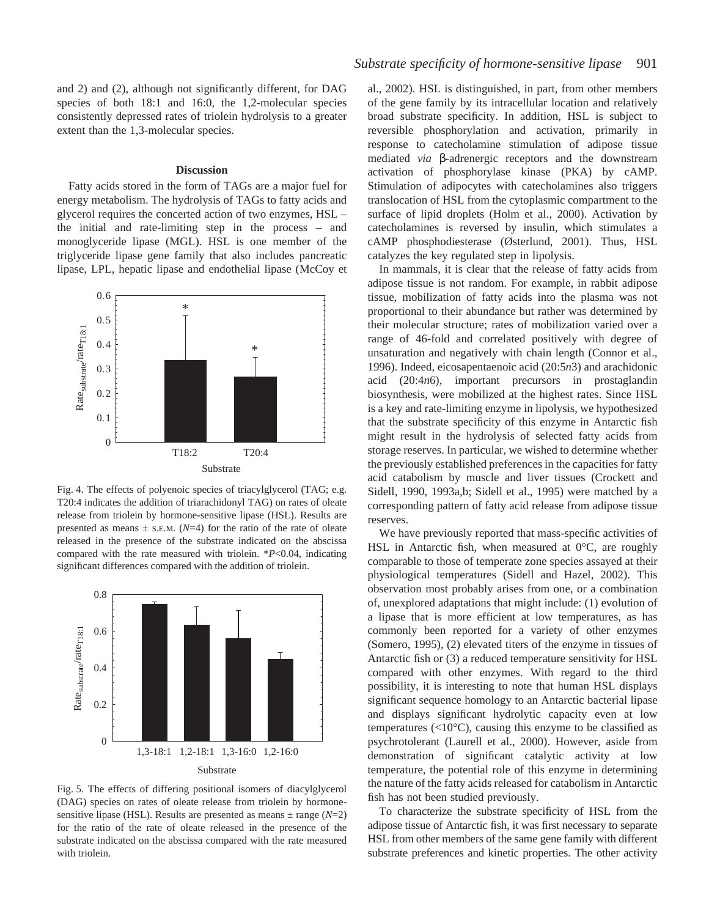and 2) and (2), although not significantly different, for DAG species of both 18:1 and 16:0, the 1,2-molecular species consistently depressed rates of triolein hydrolysis to a greater extent than the 1,3-molecular species.

#### **Discussion**

Fatty acids stored in the form of TAGs are a major fuel for energy metabolism. The hydrolysis of TAGs to fatty acids and glycerol requires the concerted action of two enzymes, HSL – the initial and rate-limiting step in the process – and monoglyceride lipase (MGL). HSL is one member of the triglyceride lipase gene family that also includes pancreatic lipase, LPL, hepatic lipase and endothelial lipase (McCoy et



Fig. 4. The effects of polyenoic species of triacylglycerol (TAG; e.g. T20:4 indicates the addition of triarachidonyl TAG) on rates of oleate release from triolein by hormone-sensitive lipase (HSL). Results are presented as means  $\pm$  s.E.M. ( $N=4$ ) for the ratio of the rate of oleate released in the presence of the substrate indicated on the abscissa compared with the rate measured with triolein. \**P*<0.04, indicating significant differences compared with the addition of triolein.



Fig. 5. The effects of differing positional isomers of diacylglycerol (DAG) species on rates of oleate release from triolein by hormonesensitive lipase (HSL). Results are presented as means  $\pm$  range ( $N=2$ ) for the ratio of the rate of oleate released in the presence of the substrate indicated on the abscissa compared with the rate measured with triolein.

al., 2002). HSL is distinguished, in part, from other members of the gene family by its intracellular location and relatively broad substrate specificity. In addition, HSL is subject to reversible phosphorylation and activation, primarily in response to catecholamine stimulation of adipose tissue mediated *via* β-adrenergic receptors and the downstream activation of phosphorylase kinase (PKA) by cAMP. Stimulation of adipocytes with catecholamines also triggers translocation of HSL from the cytoplasmic compartment to the surface of lipid droplets (Holm et al., 2000). Activation by catecholamines is reversed by insulin, which stimulates a cAMP phosphodiesterase (Østerlund, 2001). Thus, HSL catalyzes the key regulated step in lipolysis.

In mammals, it is clear that the release of fatty acids from adipose tissue is not random. For example, in rabbit adipose tissue, mobilization of fatty acids into the plasma was not proportional to their abundance but rather was determined by their molecular structure; rates of mobilization varied over a range of 46-fold and correlated positively with degree of unsaturation and negatively with chain length (Connor et al., 1996). Indeed, eicosapentaenoic acid (20:5*n*3) and arachidonic acid (20:4*n*6), important precursors in prostaglandin biosynthesis, were mobilized at the highest rates. Since HSL is a key and rate-limiting enzyme in lipolysis, we hypothesized that the substrate specificity of this enzyme in Antarctic fish might result in the hydrolysis of selected fatty acids from storage reserves. In particular, we wished to determine whether the previously established preferences in the capacities for fatty acid catabolism by muscle and liver tissues (Crockett and Sidell, 1990, 1993a,b; Sidell et al., 1995) were matched by a corresponding pattern of fatty acid release from adipose tissue reserves.

We have previously reported that mass-specific activities of HSL in Antarctic fish, when measured at 0°C, are roughly comparable to those of temperate zone species assayed at their physiological temperatures (Sidell and Hazel, 2002). This observation most probably arises from one, or a combination of, unexplored adaptations that might include: (1) evolution of a lipase that is more efficient at low temperatures, as has commonly been reported for a variety of other enzymes (Somero, 1995), (2) elevated titers of the enzyme in tissues of Antarctic fish or (3) a reduced temperature sensitivity for HSL compared with other enzymes. With regard to the third possibility, it is interesting to note that human HSL displays significant sequence homology to an Antarctic bacterial lipase and displays significant hydrolytic capacity even at low temperatures  $(<10^{\circ}C$ ), causing this enzyme to be classified as psychrotolerant (Laurell et al., 2000). However, aside from demonstration of significant catalytic activity at low temperature, the potential role of this enzyme in determining the nature of the fatty acids released for catabolism in Antarctic fish has not been studied previously.

To characterize the substrate specificity of HSL from the adipose tissue of Antarctic fish, it was first necessary to separate HSL from other members of the same gene family with different substrate preferences and kinetic properties. The other activity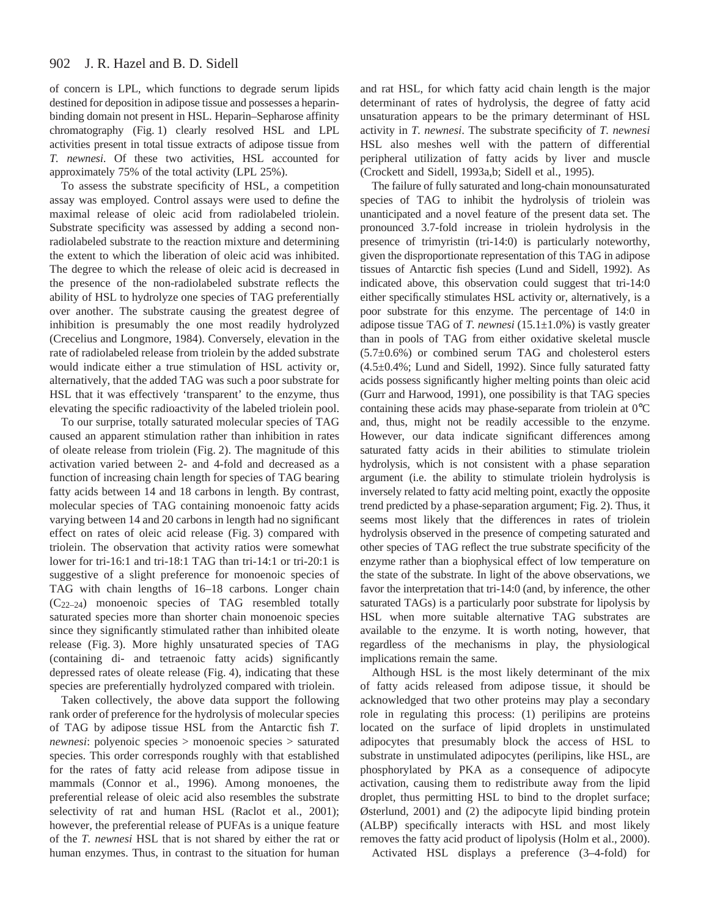of concern is LPL, which functions to degrade serum lipids destined for deposition in adipose tissue and possesses a heparinbinding domain not present in HSL. Heparin–Sepharose affinity chromatography (Fig. 1) clearly resolved HSL and LPL activities present in total tissue extracts of adipose tissue from *T. newnesi*. Of these two activities, HSL accounted for approximately 75% of the total activity (LPL 25%).

To assess the substrate specificity of HSL, a competition assay was employed. Control assays were used to define the maximal release of oleic acid from radiolabeled triolein. Substrate specificity was assessed by adding a second nonradiolabeled substrate to the reaction mixture and determining the extent to which the liberation of oleic acid was inhibited. The degree to which the release of oleic acid is decreased in the presence of the non-radiolabeled substrate reflects the ability of HSL to hydrolyze one species of TAG preferentially over another. The substrate causing the greatest degree of inhibition is presumably the one most readily hydrolyzed (Crecelius and Longmore, 1984). Conversely, elevation in the rate of radiolabeled release from triolein by the added substrate would indicate either a true stimulation of HSL activity or, alternatively, that the added TAG was such a poor substrate for HSL that it was effectively 'transparent' to the enzyme, thus elevating the specific radioactivity of the labeled triolein pool.

To our surprise, totally saturated molecular species of TAG caused an apparent stimulation rather than inhibition in rates of oleate release from triolein (Fig. 2). The magnitude of this activation varied between 2- and 4-fold and decreased as a function of increasing chain length for species of TAG bearing fatty acids between 14 and 18 carbons in length. By contrast, molecular species of TAG containing monoenoic fatty acids varying between 14 and 20 carbons in length had no significant effect on rates of oleic acid release (Fig. 3) compared with triolein. The observation that activity ratios were somewhat lower for tri-16:1 and tri-18:1 TAG than tri-14:1 or tri-20:1 is suggestive of a slight preference for monoenoic species of TAG with chain lengths of 16–18 carbons. Longer chain (C22–24) monoenoic species of TAG resembled totally saturated species more than shorter chain monoenoic species since they significantly stimulated rather than inhibited oleate release (Fig. 3). More highly unsaturated species of TAG (containing di- and tetraenoic fatty acids) significantly depressed rates of oleate release (Fig. 4), indicating that these species are preferentially hydrolyzed compared with triolein.

Taken collectively, the above data support the following rank order of preference for the hydrolysis of molecular species of TAG by adipose tissue HSL from the Antarctic fish *T. newnesi*: polyenoic species > monoenoic species > saturated species. This order corresponds roughly with that established for the rates of fatty acid release from adipose tissue in mammals (Connor et al., 1996). Among monoenes, the preferential release of oleic acid also resembles the substrate selectivity of rat and human HSL (Raclot et al., 2001); however, the preferential release of PUFAs is a unique feature of the *T. newnesi* HSL that is not shared by either the rat or human enzymes. Thus, in contrast to the situation for human and rat HSL, for which fatty acid chain length is the major determinant of rates of hydrolysis, the degree of fatty acid unsaturation appears to be the primary determinant of HSL activity in *T. newnesi*. The substrate specificity of *T. newnesi* HSL also meshes well with the pattern of differential peripheral utilization of fatty acids by liver and muscle (Crockett and Sidell, 1993a,b; Sidell et al., 1995).

The failure of fully saturated and long-chain monounsaturated species of TAG to inhibit the hydrolysis of triolein was unanticipated and a novel feature of the present data set. The pronounced 3.7-fold increase in triolein hydrolysis in the presence of trimyristin (tri-14:0) is particularly noteworthy, given the disproportionate representation of this TAG in adipose tissues of Antarctic fish species (Lund and Sidell, 1992). As indicated above, this observation could suggest that tri-14:0 either specifically stimulates HSL activity or, alternatively, is a poor substrate for this enzyme. The percentage of 14:0 in adipose tissue TAG of *T. newnesi* (15.1±1.0%) is vastly greater than in pools of TAG from either oxidative skeletal muscle  $(5.7\pm0.6%)$  or combined serum TAG and cholesterol esters (4.5±0.4%; Lund and Sidell, 1992). Since fully saturated fatty acids possess significantly higher melting points than oleic acid (Gurr and Harwood, 1991), one possibility is that TAG species containing these acids may phase-separate from triolein at 0°C and, thus, might not be readily accessible to the enzyme. However, our data indicate significant differences among saturated fatty acids in their abilities to stimulate triolein hydrolysis, which is not consistent with a phase separation argument (i.e. the ability to stimulate triolein hydrolysis is inversely related to fatty acid melting point, exactly the opposite trend predicted by a phase-separation argument; Fig. 2). Thus, it seems most likely that the differences in rates of triolein hydrolysis observed in the presence of competing saturated and other species of TAG reflect the true substrate specificity of the enzyme rather than a biophysical effect of low temperature on the state of the substrate. In light of the above observations, we favor the interpretation that tri-14:0 (and, by inference, the other saturated TAGs) is a particularly poor substrate for lipolysis by HSL when more suitable alternative TAG substrates are available to the enzyme. It is worth noting, however, that regardless of the mechanisms in play, the physiological implications remain the same.

Although HSL is the most likely determinant of the mix of fatty acids released from adipose tissue, it should be acknowledged that two other proteins may play a secondary role in regulating this process: (1) perilipins are proteins located on the surface of lipid droplets in unstimulated adipocytes that presumably block the access of HSL to substrate in unstimulated adipocytes (perilipins, like HSL, are phosphorylated by PKA as a consequence of adipocyte activation, causing them to redistribute away from the lipid droplet, thus permitting HSL to bind to the droplet surface; Østerlund, 2001) and (2) the adipocyte lipid binding protein (ALBP) specifically interacts with HSL and most likely removes the fatty acid product of lipolysis (Holm et al., 2000).

Activated HSL displays a preference (3–4-fold) for